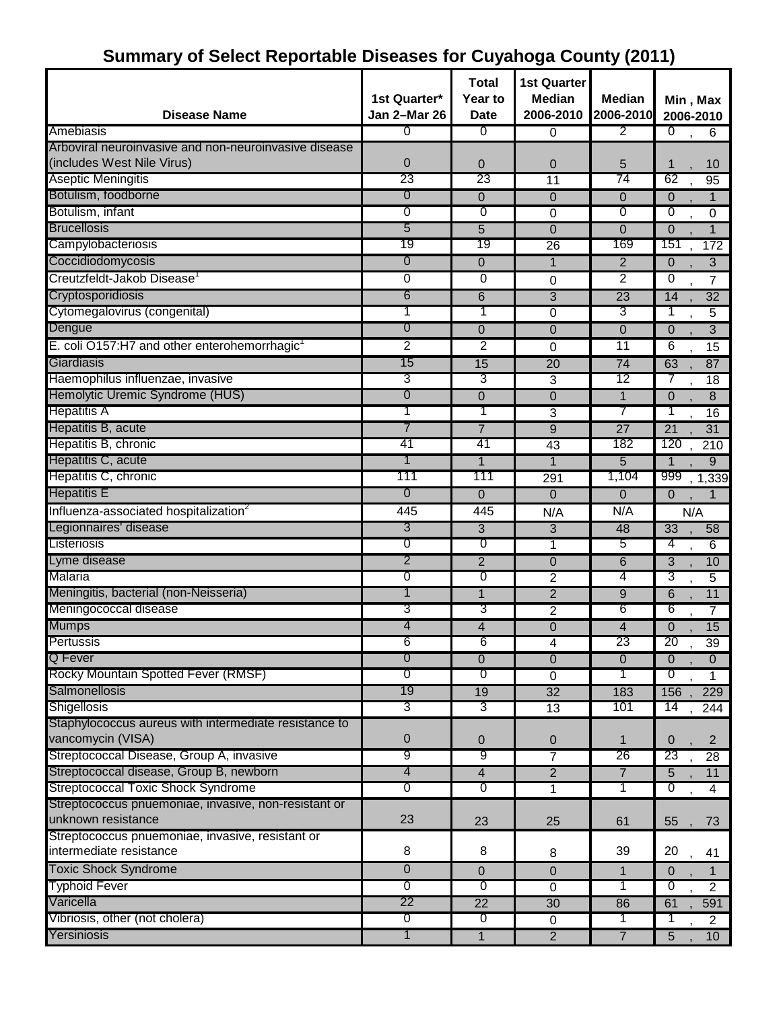# **Summary of Select Reportable Diseases for Cuyahoga County (2011)**

|                                                          | 1st Quarter*   | <b>Total</b><br>Year to | <b>1st Quarter</b><br><b>Median</b> | <b>Median</b>   | Min, Max                           |
|----------------------------------------------------------|----------------|-------------------------|-------------------------------------|-----------------|------------------------------------|
| <b>Disease Name</b>                                      | Jan 2-Mar 26   | <b>Date</b>             | 2006-2010                           | 2006-2010       | 2006-2010                          |
| Amebiasis                                                | 0              | 0                       | $\Omega$                            | 2               | $\overline{0}$<br>6                |
| Arboviral neuroinvasive and non-neuroinvasive disease    |                |                         |                                     |                 |                                    |
| (includes West Nile Virus)                               | $\overline{0}$ | 0                       | $\overline{0}$                      | 5               | 1<br>10                            |
| <b>Aseptic Meningitis</b>                                | 23             | 23                      | $\overline{11}$                     | 74              | 62<br>95                           |
| Botulism, foodborne                                      | 0              | 0                       | $\overline{0}$                      | 0               | $\mathbf 0$<br>$\mathbf{1}$        |
| Botulism, infant                                         | 0              | 0                       | 0                                   | 0               | ত<br>0                             |
| <b>Brucellosis</b>                                       | 5              | 5                       | $\Omega$                            | $\overline{0}$  | $\overline{0}$<br>1                |
| Campylobacteriosis                                       | 19             | 19                      | 26                                  | 169             | 151<br>172                         |
| Coccidiodomycosis                                        | 0              | 0                       | $\mathbf{1}$                        | $\overline{2}$  | $\overline{3}$<br>$\overline{0}$   |
| Creutzfeldt-Jakob Disease <sup>1</sup>                   | 0              | 0                       | 0                                   | 2               | 0<br>7                             |
| Cryptosporidiosis                                        | 6              | 6                       | $\overline{3}$                      | 23              | 14<br>$\overline{32}$              |
| Cytomegalovirus (congenital)                             | 1              |                         | 0                                   | 3               | 1<br>5                             |
| Dengue                                                   | 0              | 0                       | $\overline{0}$                      | 0               | $\overline{3}$<br>$\mathbf 0$      |
| E. coli O157:H7 and other enterohemorrhagic <sup>1</sup> | $\overline{2}$ | 2                       | 0                                   | 11              | 6<br>15                            |
| Giardiasis                                               | 15             | 15                      | $\overline{20}$                     | 74              | 63<br>87                           |
| Haemophilus influenzae, invasive                         | 3              | 3                       | 3                                   | 12              | 7<br>18                            |
| Hemolytic Uremic Syndrome (HUS)                          | 0              | 0                       | $\overline{0}$                      | 1               | $\overline{0}$<br>8                |
| <b>Hepatitis A</b>                                       |                |                         | 3                                   |                 | 1<br>16                            |
| Hepatitis B, acute                                       | 7              | $\overline{7}$          | $\overline{9}$                      | $\overline{27}$ | $\overline{21}$<br>$\overline{31}$ |
| Hepatitis B, chronic                                     | 41             | 41                      | 43                                  | 182             | 120<br>210                         |
| Hepatitis C, acute                                       | 1              | 1                       | $\mathbf{1}$                        | 5               | $\mathbf{1}$<br>9                  |
| Hepatitis C, chronic                                     | 111            | 111                     | 291                                 | 1,104           | 999<br>1,339                       |
| <b>Hepatitis E</b>                                       | 0              | $\overline{0}$          | $\overline{0}$                      | 0               | $\mathbf 0$                        |
| Influenza-associated hospitalization <sup>2</sup>        | 445            | 445                     | N/A                                 | N/A             | N/A                                |
| Legionnaires' disease                                    | 3              | 3                       | 3                                   | 48              | $\overline{33}$<br>58              |
| Listeriosis                                              | 0              | 0                       | $\mathbf{1}$                        | 5               | 4<br>6                             |
| Lyme disease                                             | 2              | $\overline{2}$          | $\overline{0}$                      | 6               | $\overline{3}$<br>10               |
| Malaria                                                  | 0              | ত                       | $\overline{2}$                      | 4               | 3<br>5                             |
| Meningitis, bacterial (non-Neisseria)                    | 1              | 1                       | $\overline{2}$                      | 9               | $\overline{6}$<br>11               |
| Meningococcal disease                                    | 3              | 3                       | $\overline{2}$                      | 6               | 6<br>7                             |
| <b>Mumps</b>                                             | 4              | 4                       | $\overline{0}$                      | 4               | 15<br>$\Omega$                     |
| Pertussis                                                | 6              | 6                       | 4                                   | 23              | 20<br>39                           |
| Q Fever                                                  | 0              | 0                       | $\overline{0}$                      | $\overline{0}$  | $\overline{0}$<br>$\overline{0}$   |
| Rocky Mountain Spotted Fever (RMSF)                      | 0              | σ                       | $\overline{0}$                      | T               | $\overline{0}$<br>1                |
| Salmonellosis                                            | 19             | 19                      | 32                                  | 183             | 229<br>156                         |
| Shigellosis                                              | 3              | 3                       | 13                                  | 101             | 14<br>244                          |
| Staphylococcus aureus with intermediate resistance to    |                |                         |                                     |                 |                                    |
| vancomycin (VISA)                                        | $\pmb{0}$      | 0                       | $\pmb{0}$                           | 1               | $\mathbf 0$<br>$\overline{2}$      |
| Streptococcal Disease, Group A, invasive                 | 9              | 9                       | 7                                   | 26              | 23<br>28                           |
| Streptococcal disease, Group B, newborn                  | 4              | $\overline{4}$          | $\overline{2}$                      | $\overline{7}$  | $\overline{5}$<br>11               |
| <b>Streptococcal Toxic Shock Syndrome</b>                | 0              | 0                       | 1                                   | 1               | $\overline{0}$<br>4                |
| Streptococcus pnuemoniae, invasive, non-resistant or     |                |                         |                                     |                 |                                    |
| unknown resistance                                       | 23             | 23                      | 25                                  | 61              | 55<br>73                           |
| Streptococcus pnuemoniae, invasive, resistant or         |                |                         |                                     |                 |                                    |
| intermediate resistance                                  | 8              | 8                       | 8                                   | 39              | 20<br>41                           |
| <b>Toxic Shock Syndrome</b>                              | $\overline{0}$ | 0                       | $\pmb{0}$                           | 1               | $\overline{0}$<br>1                |
| <b>Typhoid Fever</b>                                     | $\overline{0}$ | $\overline{0}$          | $\overline{0}$                      | 1               | $\overline{0}$<br>$\overline{2}$   |
| Varicella                                                | 22             | $\overline{22}$         | 30                                  | 86              | 61<br>591                          |
| Vibriosis, other (not cholera)                           | $\overline{0}$ | 0                       | $\mathbf 0$                         | 1               | $\overline{2}$                     |
| Yersiniosis                                              | 1              | 1                       | $\overline{2}$                      | $\overline{7}$  | 10<br>5                            |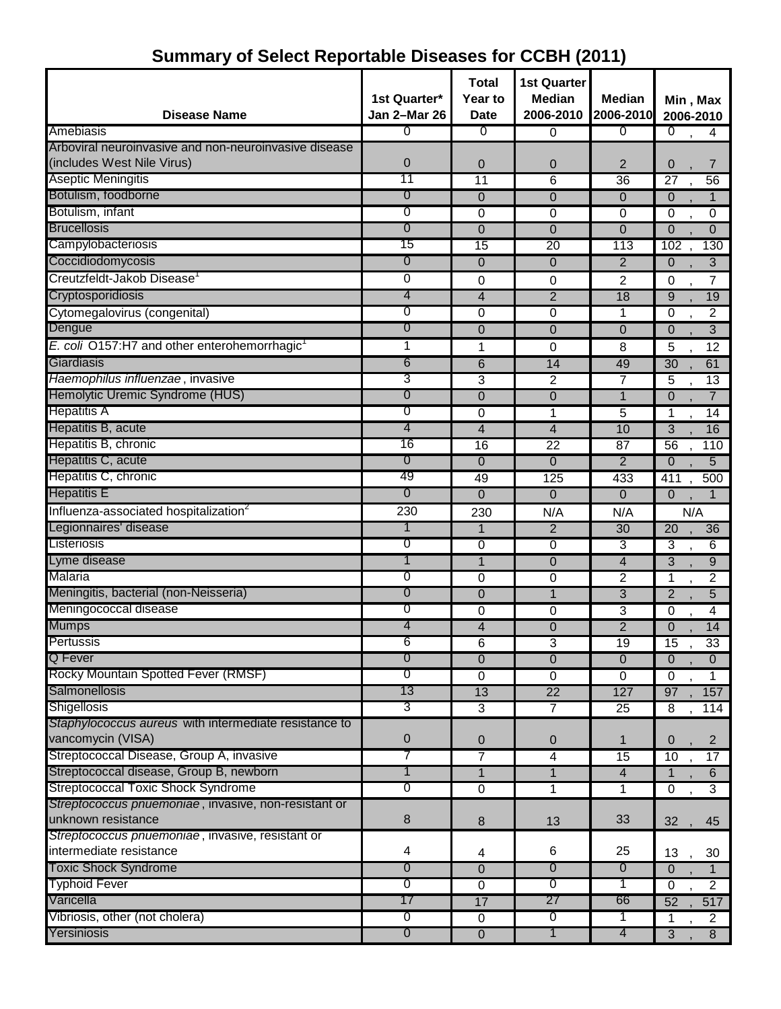|                                                       |                | <b>Total</b>   | <b>1st Quarter</b> |                 |                                  |
|-------------------------------------------------------|----------------|----------------|--------------------|-----------------|----------------------------------|
|                                                       | 1st Quarter*   | Year to        | <b>Median</b>      | <b>Median</b>   | Min, Max                         |
| <b>Disease Name</b>                                   | Jan 2-Mar 26   | <b>Date</b>    | 2006-2010          | 2006-2010       | 2006-2010                        |
| Amebiasis                                             | 0              | 0              | $\overline{0}$     | 0               | $\overline{0}$<br>4              |
| Arboviral neuroinvasive and non-neuroinvasive disease |                |                |                    |                 |                                  |
| (includes West Nile Virus)                            | 0              | $\overline{0}$ | 0                  | $\overline{2}$  | 0<br>7                           |
| <b>Aseptic Meningitis</b>                             | 11             | 11             | 6                  | 36              | 56<br>$\overline{27}$            |
| Botulism, foodborne                                   | 0              | $\overline{0}$ | $\overline{0}$     | $\Omega$        | $\mathbf{1}$<br>$\Omega$         |
| Botulism, infant                                      | 0              | 0              | 0                  | $\mathbf 0$     | $\overline{0}$<br>$\mathbf 0$    |
| <b>Brucellosis</b>                                    | 0              | $\Omega$       | $\mathbf 0$        | $\mathbf 0$     | $\overline{0}$<br>$\overline{0}$ |
| Campylobacteriosis                                    | 15             | 15             | $\overline{20}$    | 113             | 102<br>130                       |
| Coccidiodomycosis                                     | 0              | $\overline{0}$ | $\mathbf 0$        | $\overline{2}$  | $\overline{3}$<br>$\overline{0}$ |
| Creutzfeldt-Jakob Disease <sup>1</sup>                | 0              | 0              | 0                  | $\overline{c}$  | 7<br>0                           |
| Cryptosporidiosis                                     | 4              | 4              | $\overline{2}$     | $\overline{18}$ | 19<br>9                          |
| Cytomegalovirus (congenital)                          | 0              | 0              | 0                  | 1               | $\overline{2}$<br>$\mathbf 0$    |
| Dengue                                                | 0              | $\overline{0}$ | $\overline{0}$     | $\mathbf 0$     | $\overline{3}$<br>$\mathbf 0$    |
| E. coli O157:H7 and other enterohemorrhagic           | 1              | 1              | 0                  | 8               | 5<br>12                          |
| Giardiasis                                            | 6              | 6              | 14                 | 49              | 61<br>$\overline{30}$            |
| Haemophilus influenzae, invasive                      | 3              | 3              | 2                  | 7               | 5<br>$\overline{13}$             |
| Hemolytic Uremic Syndrome (HUS)                       | 0              | $\mathbf 0$    | $\mathbf 0$        | $\mathbf{1}$    | $\overline{7}$<br>$\overline{0}$ |
| <b>Hepatitis A</b>                                    | 0              | $\overline{0}$ | 1                  | 5               | 14<br>1                          |
| Hepatitis B, acute                                    | 4              | 4              | 4                  | 10              | 16<br>3                          |
| Hepatitis B, chronic                                  | 16             | 16             | 22                 | 87              | 56<br>110                        |
| Hepatitis C, acute                                    | 0              | $\overline{0}$ | $\mathbf 0$        | $\overline{2}$  | $\overline{0}$<br>5              |
| Hepatitis C, chronic                                  | 49             | 49             | 125                | 433             | 500<br>411                       |
| <b>Hepatitis E</b>                                    | 0              | 0              | $\overline{0}$     | $\mathbf 0$     | $\Omega$<br>$\mathbf{1}$         |
| Influenza-associated hospitalization <sup>2</sup>     | 230            | 230            | N/A                | N/A             | N/A                              |
| Legionnaires' disease                                 | 1              | 1              | $\overline{2}$     | $\overline{30}$ | 20<br>36                         |
| Listeriosis                                           | 0              | $\mathbf 0$    | 0                  | 3               | $\overline{3}$<br>$\overline{6}$ |
| Lyme disease                                          | 1              | $\mathbf{1}$   | $\mathbf 0$        | $\overline{4}$  | $\overline{3}$<br>$\overline{9}$ |
| <b>Malaria</b>                                        | 0              | $\mathbf 0$    | 0                  | $\overline{2}$  | $\overline{2}$<br>1              |
| Meningitis, bacterial (non-Neisseria)                 | 0              | $\overline{0}$ | 1                  | $\overline{3}$  | $\overline{5}$<br>$\overline{2}$ |
| Meningococcal disease                                 | 0              | 0              | 0                  | 3               | 4<br>$\Omega$                    |
| <b>Mumps</b>                                          | 4              | 4              | $\mathbf 0$        | $\overline{2}$  | 14<br>$\overline{0}$             |
| Pertussis                                             | 6              | 6              | 3                  | 19              | 15<br>33                         |
| Q Fever                                               | 0              | $\Omega$       | $\overline{0}$     | $\overline{0}$  | $\overline{0}$<br>$\overline{0}$ |
| Rocky Mountain Spotted Fever (RMSF)                   | 0              | $\overline{0}$ | $\overline{0}$     | $\overline{0}$  | 0<br>$\mathbf{1}$                |
| Salmonellosis                                         | 13             | 13             | $\overline{22}$    | 127             | 157<br>97                        |
| Shigellosis                                           | 3              | 3              | $\overline{7}$     | $\overline{25}$ | 8<br>114                         |
| Staphylococcus aureus with intermediate resistance to |                |                |                    |                 |                                  |
| vancomycin (VISA)                                     | 0              | $\mathbf 0$    | $\mathbf 0$        | 1               | 0<br>$\overline{2}$              |
| Streptococcal Disease, Group A, invasive              | 7              | $\overline{7}$ | $\overline{4}$     | 15              | 17<br>10                         |
| Streptococcal disease, Group B, newborn               | 1              | $\mathbf{1}$   | $\mathbf{1}$       | $\overline{4}$  | $\overline{1}$<br>6              |
| <b>Streptococcal Toxic Shock Syndrome</b>             | 0              | $\mathbf 0$    | $\overline{1}$     | $\overline{1}$  | $\overline{3}$<br>$\overline{0}$ |
| Streptococcus pnuemoniae, invasive, non-resistant or  |                |                |                    |                 |                                  |
| unknown resistance                                    | 8              | $\bf 8$        | 13                 | 33              | 32<br>45                         |
| Streptococcus pnuemoniae, invasive, resistant or      |                |                |                    |                 |                                  |
| intermediate resistance                               | 4              | 4              | 6                  | 25              | 13<br>30                         |
| <b>Toxic Shock Syndrome</b>                           | 0              | $\overline{0}$ | $\overline{0}$     | $\overline{0}$  | $\overline{0}$<br>$\mathbf{1}$   |
| <b>Typhoid Fever</b>                                  | $\overline{0}$ | $\mathbf 0$    | $\overline{0}$     | 1               | $\overline{2}$<br>$\overline{0}$ |
| Varicella                                             | 17             | 17             | 27                 | 66              | 517<br>52                        |
| Vibriosis, other (not cholera)                        | $\overline{0}$ | $\overline{0}$ | $\overline{0}$     | 1               | $\overline{2}$<br>1              |
| Yersiniosis                                           | $\overline{0}$ | $\overline{0}$ | $\overline{1}$     | 4               | 8<br>$\overline{3}$              |

#### **Summary of Select Reportable Diseases for CCBH (2011)**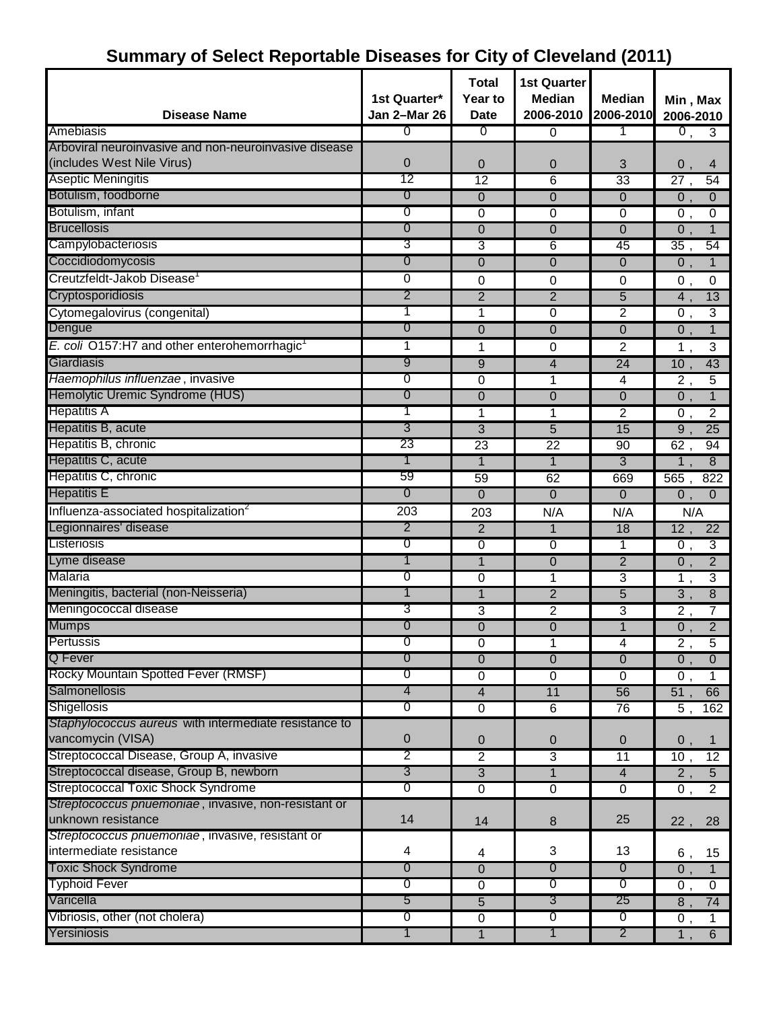## **Summary of Select Reportable Diseases for City of Cleveland (2011)**

| <b>Disease Name</b>                                      | 1st Quarter*<br>Jan 2-Mar 26 | Total<br>Year to<br><b>Date</b> | <b>1st Quarter</b><br><b>Median</b><br>2006-2010 | <b>Median</b><br>2006-2010 | Min, Max<br>2006-2010               |
|----------------------------------------------------------|------------------------------|---------------------------------|--------------------------------------------------|----------------------------|-------------------------------------|
| Amebiasis                                                | 0                            | σ                               | $\mathbf 0$                                      | 1                          | 0,<br>$\overline{3}$                |
| Arboviral neuroinvasive and non-neuroinvasive disease    |                              |                                 |                                                  |                            |                                     |
| (includes West Nile Virus)                               | $\overline{0}$               | 0                               | 0                                                | 3                          | 0,<br>4                             |
| <b>Aseptic Meningitis</b>                                | 12                           | $\overline{12}$                 | 6                                                | 33                         | $\overline{27}$ ,<br>54             |
| Botulism, foodborne                                      | 0                            | $\overline{0}$                  | $\mathbf 0$                                      | $\mathbf 0$                | $\overline{0}$ ,<br>$\mathbf{0}$    |
| Botulism, infant                                         | 0                            | $\mathbf 0$                     | $\mathbf 0$                                      | $\mathbf 0$                | $\overline{0}$ ,<br>0               |
| <b>Brucellosis</b>                                       | 0                            | 0                               | $\Omega$                                         | $\Omega$                   | $\mathbf{1}$<br>$0$ ,               |
| Campylobacteriosis                                       | 3                            | 3                               | 6                                                | 45                         | 54<br>$\overline{35}$ ,             |
| Coccidiodomycosis                                        | 0                            | 0                               | $\overline{0}$                                   | $\Omega$                   | $\overline{0}$ ,<br>$\overline{1}$  |
| Creutzfeldt-Jakob Disease <sup>1</sup>                   | 0                            | 0                               | 0                                                | 0                          | 0,<br>0                             |
| Cryptosporidiosis                                        | 2                            | $\overline{2}$                  | $\overline{2}$                                   | $\overline{5}$             | 4,<br>13                            |
| Cytomegalovirus (congenital)                             |                              | 1                               | 0                                                | $\overline{2}$             | $\overline{3}$<br>$\overline{0}$ ,  |
| Dengue                                                   | 0                            | 0                               | $\overline{0}$                                   | 0                          | $\overline{0}$<br>$\mathbf{1}$      |
| E. coli O157:H7 and other enterohemorrhagic <sup>1</sup> | 1                            | 1                               | 0                                                | 2                          | 1,<br>$\sqrt{3}$                    |
| Giardiasis                                               | 9                            | 9                               | 4                                                | 24                         | $\overline{10}$ ,<br>43             |
| Haemophilus influenzae, invasive                         | 0                            | 0                               | 1                                                | $\overline{4}$             | $\overline{2}$ ,<br>$\overline{5}$  |
| Hemolytic Uremic Syndrome (HUS)                          | 0                            | $\overline{0}$                  | $\overline{0}$                                   | $\overline{0}$             | $\overline{0}$ ,<br>$\mathbf{1}$    |
| <b>Hepatitis A</b>                                       | 1                            | 1                               | 1                                                | $\overline{2}$             | $\overline{2}$<br>0,                |
| Hepatitis B, acute                                       | 3                            | $\overline{3}$                  | 5                                                | 15                         | $\overline{9}$ ,<br>$\overline{25}$ |
| Hepatitis B, chronic                                     | 23                           | 23                              | $\overline{22}$                                  | 90                         | 94<br>62,                           |
| Hepatitis C, acute                                       | 1                            | $\mathbf{1}$                    | $\mathbf{1}$                                     | 3                          | $\overline{1}$ ,<br>8               |
| Hepatitis C, chronic                                     | 59                           | 59                              | 62                                               | 669                        | 565,<br>822                         |
| <b>Hepatitis E</b>                                       | 0                            | $\mathbf 0$                     | $\overline{0}$                                   | 0                          | 0,<br>$\mathbf{0}$                  |
| Influenza-associated hospitalization <sup>2</sup>        | $\overline{203}$             | 203                             | N/A                                              | N/A                        | N/A                                 |
| Legionnaires' disease                                    | 2                            | $\overline{2}$                  | $\mathbf{1}$                                     | 18                         | 12,<br>$\overline{22}$              |
| Listeriosis                                              | 0                            | $\mathbf 0$                     | $\mathbf 0$                                      | 1                          | $\overline{3}$<br>$\overline{0}$ ,  |
| Lyme disease                                             | 1                            | 1                               | $\Omega$                                         | $\overline{2}$             | $\overline{2}$<br>$\overline{0}$ ,  |
| Malaria                                                  | 0                            | 0                               | 1                                                | 3                          | $\overline{3}$<br>$\overline{1}$ ,  |
| Meningitis, bacterial (non-Neisseria)                    |                              | 1                               | $\overline{2}$                                   | $\overline{5}$             | $\overline{8}$<br>$\overline{3}$ ,  |
| Meningococcal disease                                    | 3                            | 3                               | $\overline{2}$                                   | 3                          | 7<br>$\overline{2}$ ,               |
| <b>Mumps</b>                                             | 0                            | $\overline{0}$                  | $\overline{0}$                                   | $\overline{1}$             | $\overline{2}$<br>$\overline{0}$ ,  |
| Pertussis                                                | O                            | 0                               | 1                                                | 4                          | 2,<br>5                             |
| Q Fever                                                  | 0                            | $\overline{0}$                  | $\mathbf 0$                                      | $\overline{0}$             | $\overline{0}$ ,<br>$\overline{0}$  |
| Rocky Mountain Spotted Fever (RMSF)                      | 0                            | $\mathbf 0$                     | $\overline{0}$                                   | $\overline{0}$             | $\overline{0}$ ,<br>$\mathbf{1}$    |
| Salmonellosis                                            | 4                            | $\overline{\mathbf{4}}$         | 11                                               | 56                         | 51,<br>66                           |
| Shigellosis                                              | 0                            | $\overline{0}$                  | $\overline{6}$                                   | 76                         | 5,<br>162                           |
| Staphylococcus aureus with intermediate resistance to    |                              |                                 |                                                  |                            |                                     |
| vancomycin (VISA)                                        | 0                            | $\mathbf 0$                     | $\boldsymbol{0}$                                 | 0                          | 0,<br>$\mathbf{1}$                  |
| Streptococcal Disease, Group A, invasive                 | 2                            | $\overline{2}$                  | $\overline{3}$                                   | 11                         | 12<br>10,                           |
| Streptococcal disease, Group B, newborn                  | 3                            | $\overline{3}$                  | $\mathbf{1}$                                     | $\overline{4}$             | $\overline{2}$ ,<br>$\overline{5}$  |
| <b>Streptococcal Toxic Shock Syndrome</b>                | 0                            | $\overline{0}$                  | $\overline{0}$                                   | $\overline{0}$             | $\overline{2}$<br>$\overline{0}$ ,  |
| Streptococcus pnuemoniae, invasive, non-resistant or     |                              |                                 |                                                  |                            |                                     |
| unknown resistance                                       | 14                           | 14                              | $\bf 8$                                          | 25                         | 22,<br>28                           |
| Streptococcus pnuemoniae, invasive, resistant or         |                              |                                 |                                                  |                            |                                     |
| intermediate resistance                                  | 4                            | 4                               | 3                                                | 13                         | 15<br>6,                            |
| <b>Toxic Shock Syndrome</b>                              | 0                            | $\overline{0}$                  | $\overline{0}$                                   | $\overline{0}$             | $\overline{0}$ ,<br>$\mathbf{1}$    |
| <b>Typhoid Fever</b>                                     | 0                            | $\overline{0}$                  | $\overline{0}$                                   | $\overline{0}$             | $\overline{0}$<br>0,                |
| Varicella                                                | 5                            | 5                               | $\overline{3}$                                   | 25                         | 74<br>8,                            |
| Vibriosis, other (not cholera)                           | 0                            | $\overline{0}$                  | $\overline{0}$                                   | $\overline{0}$             | $\overline{0}$ ,<br>$\mathbf{1}$    |
| Yersiniosis                                              | 1                            | $\mathbf{1}$                    | 1                                                | $\overline{2}$             | 6<br>$\overline{1}$ ,               |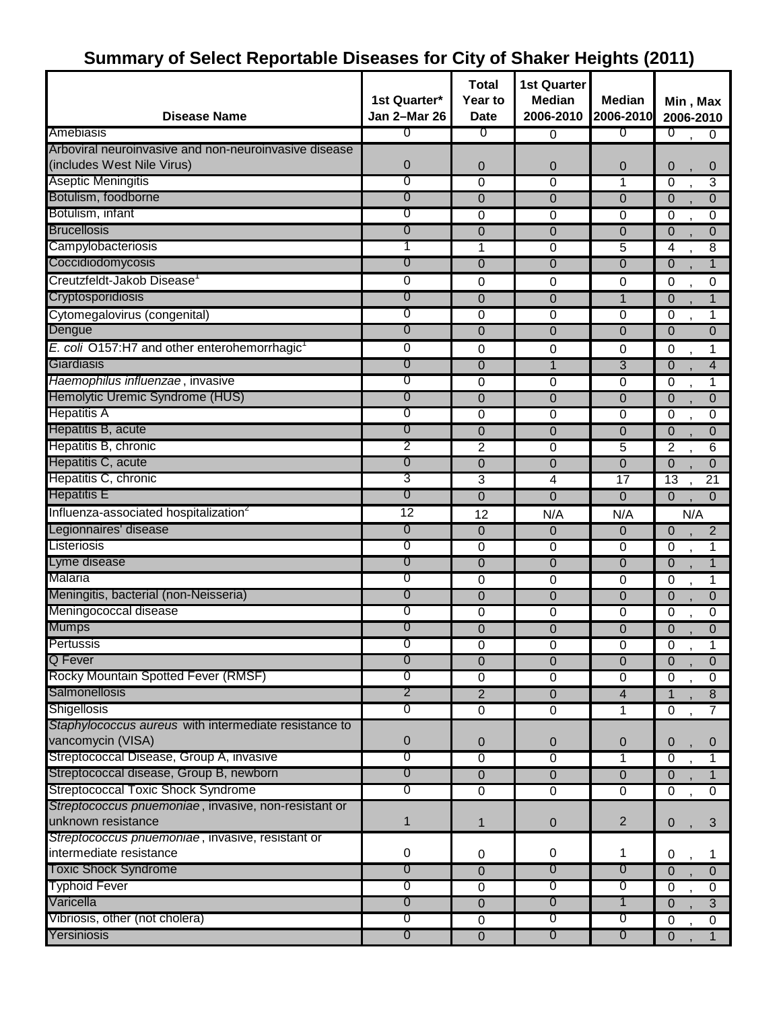## **Summary of Select Reportable Diseases for City of Shaker Heights (2011)**

| <b>Disease Name</b>                                      | 1st Quarter*<br>Jan 2-Mar 26 | <b>Total</b><br>Year to<br><b>Date</b> | <b>1st Quarter</b><br><b>Median</b><br>2006-2010 | <b>Median</b><br>2006-2010 | Min, Max<br>2006-2010                     |
|----------------------------------------------------------|------------------------------|----------------------------------------|--------------------------------------------------|----------------------------|-------------------------------------------|
| Amebiasis                                                | 0                            | $\sigma$                               | $\Omega$                                         | 0                          | $\overline{0}$<br>$\mathbf{0}$            |
| Arboviral neuroinvasive and non-neuroinvasive disease    |                              |                                        |                                                  |                            |                                           |
| (includes West Nile Virus)                               | 0                            | 0                                      | $\overline{0}$                                   | 0                          | $\mathbf 0$<br>0                          |
| <b>Aseptic Meningitis</b>                                | 0                            | $\mathbf 0$                            | 0                                                | 1                          | $\overline{0}$<br>3                       |
| Botulism, foodborne                                      | 0                            | $\overline{0}$                         | $\overline{0}$                                   | $\Omega$                   | $\mathbf{0}$<br>$\mathbf 0$               |
| Botulism, infant                                         | 0                            | 0                                      | 0                                                | $\mathbf 0$                | 0<br>0                                    |
| <b>Brucellosis</b>                                       | 0                            | $\overline{0}$                         | 0                                                | 0                          | $\mathbf{0}$<br>$\overline{0}$            |
| Campylobacteriosis                                       | 1                            | 1                                      | 0                                                | 5                          | 4<br>8                                    |
| Coccidiodomycosis                                        | 0                            | $\Omega$                               | $\Omega$                                         | $\Omega$                   | $\mathbf 0$<br>$\mathbf{1}$               |
| Creutzfeldt-Jakob Disease <sup>1</sup>                   | 0                            | 0                                      | 0                                                | $\mathbf 0$                | $\mathbf 0$<br>0                          |
| Cryptosporidiosis                                        | 0                            | $\overline{0}$                         | $\overline{0}$                                   | $\mathbf{1}$               | $\mathbf 0$<br>1                          |
| Cytomegalovirus (congenital)                             | 0                            | 0                                      | $\mathbf 0$                                      | $\mathbf 0$                | 0<br>1                                    |
| Dengue                                                   | $\overline{0}$               | $\mathbf 0$                            | $\mathbf 0$                                      | 0                          | $\mathbf 0$<br>$\mathbf{0}$               |
| E. coli O157:H7 and other enterohemorrhagic <sup>1</sup> | 0                            | 0                                      | 0                                                | 0                          | $\boldsymbol{0}$<br>1                     |
| Giardiasis                                               | 0                            | $\mathbf 0$                            | 1                                                | 3                          | $\mathbf 0$<br>4                          |
| Haemophilus influenzae, invasive                         | 0                            | 0                                      | $\mathbf 0$                                      | $\overline{0}$             | $\mathbf 0$<br>1                          |
| Hemolytic Uremic Syndrome (HUS)                          | 0                            | $\overline{0}$                         | 0                                                | $\Omega$                   | $\mathbf{0}$<br>$\Omega$                  |
| <b>Hepatitis A</b>                                       | 0                            | $\mathbf 0$                            | 0                                                | $\Omega$                   | $\mathbf 0$<br>$\Omega$                   |
| Hepatitis B, acute                                       | 0                            | $\overline{0}$                         | 0                                                | 0                          | $\mathbf 0$<br>$\mathbf{0}$               |
| Hepatitis B, chronic                                     | 2                            | $\overline{2}$                         | 0                                                | 5                          | $\overline{2}$<br>6                       |
| Hepatitis C, acute                                       | 0                            | 0                                      | $\Omega$                                         | 0                          | $\mathbf{0}$<br>$\Omega$                  |
| Hepatitis C, chronic                                     | 3                            | 3                                      | 4                                                | 17                         | $\overline{13}$<br>21                     |
| <b>Hepatitis E</b>                                       | 0                            | $\overline{0}$                         | $\mathbf 0$                                      | $\mathbf 0$                | $\overline{0}$<br>$\mathbf 0$             |
| Influenza-associated hospitalization <sup>2</sup>        | $\overline{12}$              | 12                                     | N/A                                              | N/A                        | N/A                                       |
| Legionnaires' disease                                    | $\overline{0}$               | $\mathbf 0$                            | $\overline{0}$                                   | 0                          | $\overline{2}$<br>$\overline{0}$          |
| Listeriosis                                              | 0                            | 0                                      | 0                                                | 0                          | $\mathbf 0$<br>1                          |
| Lyme disease                                             | $\overline{0}$               | $\mathbf 0$                            | $\mathbf 0$                                      | $\overline{0}$             | $\overline{0}$<br>$\overline{1}$          |
| Malaria                                                  | 0                            | $\mathbf 0$                            | 0                                                | 0                          | $\mathbf 0$<br>1                          |
| Meningitis, bacterial (non-Neisseria)                    | 0                            | $\mathbf{0}$                           | 0                                                | $\overline{0}$             | $\mathbf 0$<br>$\mathbf 0$                |
| Meningococcal disease                                    | 0                            | 0                                      | 0                                                | $\mathbf 0$                | 0<br>$\mathbf 0$                          |
| <b>Mumps</b>                                             | 0                            | $\overline{0}$                         | $\overline{0}$                                   | $\overline{0}$             | $\mathbf{0}$<br>$\Omega$                  |
| Pertussis                                                | 0                            | 0                                      | 0                                                | 0                          | $\overline{0}$<br>1                       |
| Q Fever                                                  | $\overline{0}$               | $\overline{0}$                         | $\overline{0}$                                   | $\overline{0}$             | $\overline{0}$<br>$\mathbf{0}$            |
| Rocky Mountain Spotted Fever (RMSF)                      | 0                            | 0                                      | 0                                                | $\overline{0}$             | $\boldsymbol{0}$<br>0                     |
| Salmonellosis                                            | $\overline{2}$               | $\overline{2}$                         | $\overline{0}$                                   | $\overline{4}$             | $\overline{1}$<br>$\overline{\mathbf{8}}$ |
| Shigellosis                                              | 0                            | $\overline{0}$                         | $\overline{0}$                                   | 1                          | $\overline{0}$<br>7                       |
| Staphylococcus aureus with intermediate resistance to    |                              |                                        |                                                  |                            |                                           |
| vancomycin (VISA)                                        | 0                            | $\mathbf 0$                            | $\mathbf 0$                                      | 0                          | $\mathbf 0$<br>$\overline{0}$             |
| Streptococcal Disease, Group A, invasive                 | 0                            | $\mathbf 0$                            | $\mathbf 0$                                      | 1                          | $\mathbf 0$<br>1                          |
| Streptococcal disease, Group B, newborn                  | $\overline{0}$               | $\boldsymbol{0}$                       | $\overline{0}$                                   | $\mathbf 0$                | $\overline{0}$<br>$\mathbf{1}$            |
| <b>Streptococcal Toxic Shock Syndrome</b>                | 0                            | $\overline{0}$                         | $\overline{0}$                                   | $\overline{0}$             | $\overline{0}$<br>$\overline{0}$          |
| Streptococcus pnuemoniae, invasive, non-resistant or     |                              |                                        |                                                  |                            |                                           |
| unknown resistance                                       | $\mathbf{1}$                 | 1                                      | 0                                                | $\overline{2}$             | 3<br>$\mathbf 0$                          |
| Streptococcus pnuemoniae, invasive, resistant or         |                              |                                        |                                                  |                            |                                           |
| intermediate resistance                                  | 0                            | 0                                      | 0                                                | 1                          | 0<br>1                                    |
| <b>Toxic Shock Syndrome</b>                              | $\overline{0}$               | $\overline{0}$                         | $\overline{0}$                                   | $\overline{0}$             | $\overline{0}$<br>$\overline{0}$          |
| <b>Typhoid Fever</b>                                     | 0                            | $\overline{0}$                         | $\overline{0}$                                   | $\sigma$                   | $\overline{0}$<br>$\mathbf 0$             |
| Varicella                                                | $\overline{0}$               | $\boldsymbol{0}$                       | $\overline{0}$                                   | $\mathbf 1$                | $\overline{3}$<br>$\overline{0}$          |
| Vibriosis, other (not cholera)                           | 0                            | $\overline{0}$                         | $\overline{0}$                                   | $\sigma$                   | $\boldsymbol{0}$<br>$\mathbf 0$           |
| Yersiniosis                                              | $\overline{0}$               | $\overline{0}$                         | $\overline{0}$                                   | $\overline{0}$             | $\mathbf{1}$<br>$\mathbf 0$               |